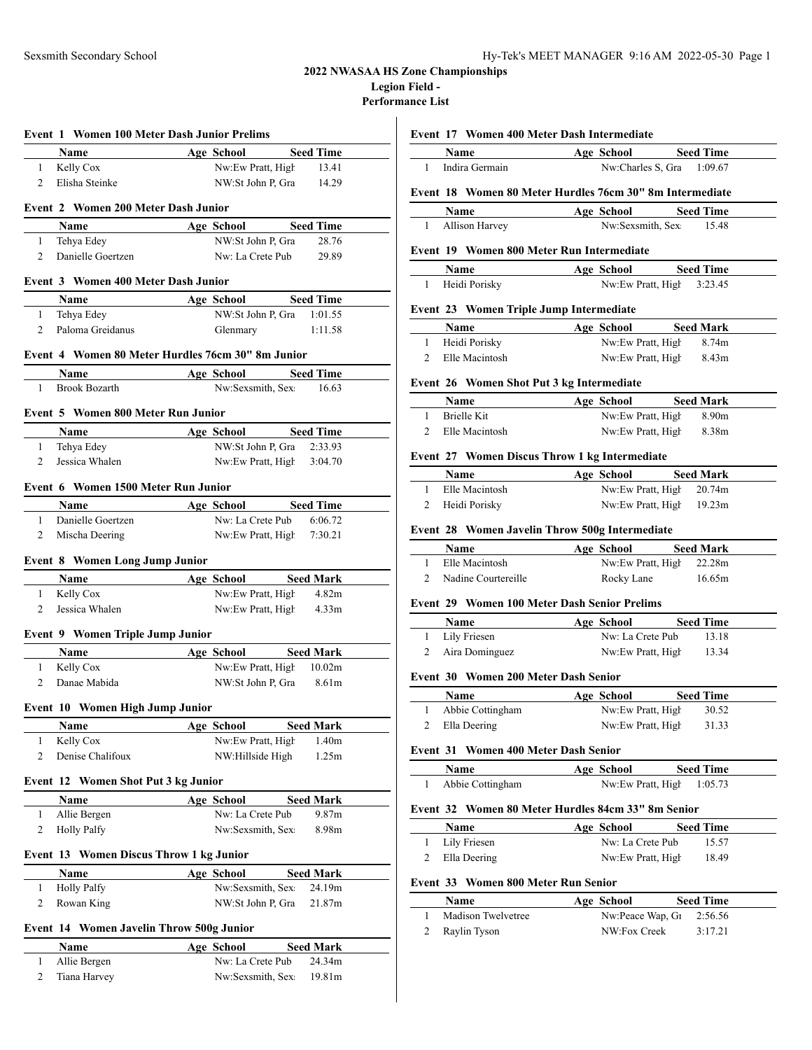### **2022 NWASAA HS Zone Championships Legion Field -**

**Performance List**

|                | Event 1 Women 100 Meter Dash Junior Prelims       |                                                  |                                       |
|----------------|---------------------------------------------------|--------------------------------------------------|---------------------------------------|
|                | Name                                              | Age School Seed Time                             |                                       |
| 1              | Kelly Cox                                         | Nw:Ew Pratt, High                                | 13.41                                 |
| 2              | Elisha Steinke                                    | NW:St John P, Gra                                | 14.29                                 |
|                | Event 2 Women 200 Meter Dash Junior               |                                                  |                                       |
|                | Name                                              | Age School Seed Time                             |                                       |
| $\mathbf{1}$   | Tehya Edey                                        | NW:St John P, Gra                                | 28.76                                 |
| 2              | Danielle Goertzen                                 | Nw: La Crete Pub                                 | 29.89                                 |
|                |                                                   |                                                  |                                       |
|                | Event 3 Women 400 Meter Dash Junior               |                                                  |                                       |
|                | Name                                              | Age School                                       | <b>Seed Time</b>                      |
| $\mathbf{1}$   | Tehya Edey                                        | NW:St John P, Gra 1:01.55                        |                                       |
| 2              | Paloma Greidanus                                  | Glenmary                                         | 1:11.58                               |
|                | Event 4 Women 80 Meter Hurdles 76cm 30" 8m Junior |                                                  |                                       |
|                | <b>Name</b>                                       | Age School Seed Time                             |                                       |
| 1              | Brook Bozarth                                     | Nw:Sexsmith, Sex                                 | 16.63                                 |
|                | Event 5 Women 800 Meter Run Junior                |                                                  |                                       |
|                | Name                                              | Age School Seed Time                             |                                       |
| 1              | Tehya Edey                                        | NW:St John P. Gra                                | 2:33.93                               |
| 2              | Jessica Whalen                                    | Nw:Ew Pratt, High                                | 3:04.70                               |
|                |                                                   |                                                  |                                       |
|                | Event 6 Women 1500 Meter Run Junior               |                                                  |                                       |
| $\mathbf{1}$   | <b>Name</b><br>Danielle Goertzen                  | Age School Seed Time<br>Nw: La Crete Pub 6:06.72 |                                       |
| 2              | Mischa Deering                                    | Nw:Ew Pratt, High                                | 7:30.21                               |
|                |                                                   |                                                  |                                       |
|                | <b>Event 8 Women Long Jump Junior</b>             |                                                  |                                       |
|                | Name                                              | Age School Seed Mark                             |                                       |
| $\mathbf{1}$   | Kelly Cox                                         | Nw:Ew Pratt, High                                | 4.82m                                 |
| 2              | Jessica Whalen                                    | Nw:Ew Pratt, High                                | 4.33 <sub>m</sub>                     |
|                | <b>Event 9 Women Triple Jump Junior</b>           |                                                  |                                       |
|                | Name                                              | Age School                                       | <b>Seed Mark</b>                      |
| $\mathbf{1}$   | Kelly Cox                                         | Nw:Ew Pratt, High 10.02m                         |                                       |
| 2              | Danae Mabida                                      | NW:St John P, Gra 8.61m                          |                                       |
|                | Event 10 Women High Jump Junior                   |                                                  |                                       |
|                |                                                   |                                                  |                                       |
| 1              | Name<br>Kelly Cox                                 | Age School<br>Nw:Ew Pratt, High                  | <b>Seed Mark</b><br>1.40 <sub>m</sub> |
| $\overline{c}$ | Denise Chalifoux                                  | NW:Hillside High                                 | 1.25m                                 |
|                |                                                   |                                                  |                                       |
|                | Event 12 Women Shot Put 3 kg Junior               |                                                  |                                       |
|                | Name                                              | Age School                                       | <b>Seed Mark</b>                      |
| 1              | Allie Bergen                                      | Nw: La Crete Pub                                 | 9.87 <sub>m</sub>                     |
| 2              | <b>Holly Palfy</b>                                | Nw:Sexsmith, Sex                                 | 8.98m                                 |
|                | Event 13 Women Discus Throw 1 kg Junior           |                                                  |                                       |
|                | Name                                              | Age School                                       | <b>Seed Mark</b>                      |
| $\mathbf{1}$   | <b>Holly Palfy</b>                                | Nw:Sexsmith, Sex                                 | 24.19m                                |
| 2              | Rowan King                                        | NW:St John P, Gra                                | 21.87m                                |
|                |                                                   |                                                  |                                       |
|                | Event 14 Women Javelin Throw 500g Junior          |                                                  |                                       |
|                | Name                                              | Age School                                       | <b>Seed Mark</b>                      |
| 1              | Allie Bergen                                      | Nw: La Crete Pub                                 | 24.34m                                |
| 2              | Tiana Harvey                                      | Nw:Sexsmith, Sex                                 | 19.81m                                |

### **Event 17 Women 400 Meter Dash Intermediate**

|   | Name                                                     | Age School        | <b>Seed Time</b> |
|---|----------------------------------------------------------|-------------------|------------------|
|   | Indira Germain                                           | Nw:Charles S, Gra | 1:09.67          |
|   | Event 18 Women 80 Meter Hurdles 76cm 30" 8m Intermediate |                   |                  |
|   | Name                                                     | Age School        | <b>Seed Time</b> |
| ı | Allison Harvey                                           | Nw:Sexsmith, Sex. | 15.48            |
|   | Event 19 Women 800 Meter Run Intermediate                |                   |                  |
|   | <b>Name</b>                                              | Age School        | <b>Seed Time</b> |

# **Event 23 Women Triple Jump Intermediate**

| Name           | Age School        | <b>Seed Mark</b> |
|----------------|-------------------|------------------|
| Heidi Porisky  | Nw:Ew Pratt, High | 8.74m            |
| Elle Macintosh | Nw:Ew Pratt, High | 8.43m            |

1 Heidi Porisky Nw:Ew Pratt, High 3:23.45

### **Event 26 Women Shot Put 3 kg Intermediate**

| <b>Name</b>        | Age School        | <b>Seed Mark</b> |
|--------------------|-------------------|------------------|
| <b>Brielle Kit</b> | Nw:Ew Pratt, High | 8.90m            |
| Elle Macintosh     | Nw:Ew Pratt, High | 8.38m            |

### **Event 27 Women Discus Throw 1 kg Intermediate**

| <b>Name</b>    | Age School               | <b>Seed Mark</b> |
|----------------|--------------------------|------------------|
| Elle Macintosh | Nw:Ew Pratt, High 20.74m |                  |
| Heidi Porisky  | Nw:Ew Pratt, High 19.23m |                  |

### **Event 28 Women Javelin Throw 500g Intermediate**

| Name                  | Age School               | <b>Seed Mark</b> |
|-----------------------|--------------------------|------------------|
| Elle Macintosh        | Nw:Ew Pratt, High 22.28m |                  |
| 2 Nadine Courtereille | Rocky Lane               | 16.65m           |

#### **Event 29 Women 100 Meter Dash Senior Prelims**

| <b>Name</b>      | Age School        | <b>Seed Time</b> |  |
|------------------|-------------------|------------------|--|
| 1 Lily Friesen   | Nw: La Crete Pub  | 13.18            |  |
| 2 Aira Dominguez | Nw:Ew Pratt, High | 13.34            |  |

### **Event 30 Women 200 Meter Dash Senior**

| Name             | Age School        | <b>Seed Time</b> |
|------------------|-------------------|------------------|
| Abbie Cottingham | Nw:Ew Pratt, High | 30.52            |
| Ella Deering     | Nw:Ew Pratt, High | 31.33            |

### **Event 31 Women 400 Meter Dash Senior**

| Name             | Age School                  | <b>Seed Time</b> |
|------------------|-----------------------------|------------------|
| Abbie Cottingham | Nw:Ew Pratt, High $1:05.73$ |                  |

### **Event 32 Women 80 Meter Hurdles 84cm 33" 8m Senior**

| Name           | Age School        | <b>Seed Time</b> |  |
|----------------|-------------------|------------------|--|
| 1 Lily Friesen | Nw: La Crete Pub  | 15.57            |  |
| 2 Ella Deering | Nw:Ew Pratt, High | 18.49            |  |

### **Event 33 Women 800 Meter Run Senior**

| <b>Name</b>        | Age School                  | <b>Seed Time</b> |
|--------------------|-----------------------------|------------------|
| Madison Twelvetree | Nw:Peace Wap, $G_1$ 2:56.56 |                  |
| 2 Raylin Tyson     | NW:Fox Creek                | 3:17.21          |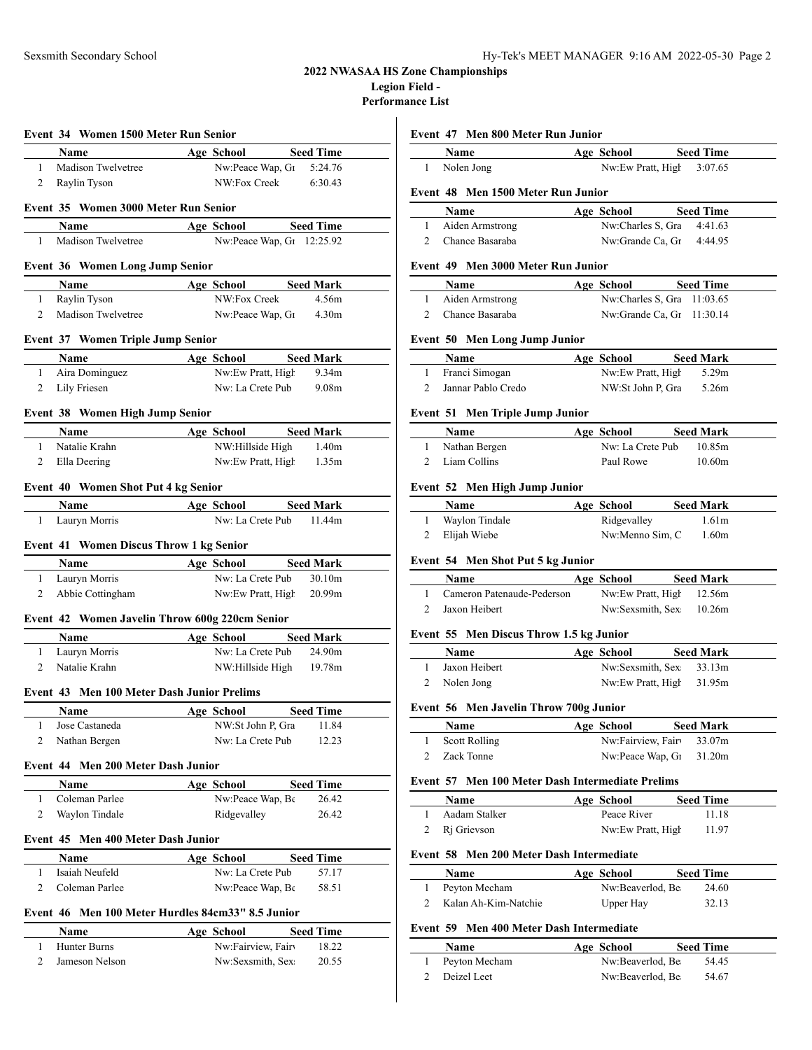### **2022 NWASAA HS Zone Championships Legion Field -**

**Performance List**

|                                                   |                                                                                                                                                                                                                                                                                                                                             | $\mathbf{1}$                                                                                                                                                                                                                                                                                                                                                                                                                                                                                                                                                                                                                      |
|---------------------------------------------------|---------------------------------------------------------------------------------------------------------------------------------------------------------------------------------------------------------------------------------------------------------------------------------------------------------------------------------------------|-----------------------------------------------------------------------------------------------------------------------------------------------------------------------------------------------------------------------------------------------------------------------------------------------------------------------------------------------------------------------------------------------------------------------------------------------------------------------------------------------------------------------------------------------------------------------------------------------------------------------------------|
|                                                   |                                                                                                                                                                                                                                                                                                                                             |                                                                                                                                                                                                                                                                                                                                                                                                                                                                                                                                                                                                                                   |
|                                                   |                                                                                                                                                                                                                                                                                                                                             | Event 4                                                                                                                                                                                                                                                                                                                                                                                                                                                                                                                                                                                                                           |
|                                                   |                                                                                                                                                                                                                                                                                                                                             |                                                                                                                                                                                                                                                                                                                                                                                                                                                                                                                                                                                                                                   |
|                                                   |                                                                                                                                                                                                                                                                                                                                             | 1                                                                                                                                                                                                                                                                                                                                                                                                                                                                                                                                                                                                                                 |
|                                                   |                                                                                                                                                                                                                                                                                                                                             | 2                                                                                                                                                                                                                                                                                                                                                                                                                                                                                                                                                                                                                                 |
|                                                   |                                                                                                                                                                                                                                                                                                                                             | Event 4                                                                                                                                                                                                                                                                                                                                                                                                                                                                                                                                                                                                                           |
|                                                   |                                                                                                                                                                                                                                                                                                                                             |                                                                                                                                                                                                                                                                                                                                                                                                                                                                                                                                                                                                                                   |
|                                                   |                                                                                                                                                                                                                                                                                                                                             | $\mathbf{1}$                                                                                                                                                                                                                                                                                                                                                                                                                                                                                                                                                                                                                      |
|                                                   |                                                                                                                                                                                                                                                                                                                                             | 2                                                                                                                                                                                                                                                                                                                                                                                                                                                                                                                                                                                                                                 |
|                                                   |                                                                                                                                                                                                                                                                                                                                             |                                                                                                                                                                                                                                                                                                                                                                                                                                                                                                                                                                                                                                   |
|                                                   |                                                                                                                                                                                                                                                                                                                                             | Event 5                                                                                                                                                                                                                                                                                                                                                                                                                                                                                                                                                                                                                           |
|                                                   |                                                                                                                                                                                                                                                                                                                                             |                                                                                                                                                                                                                                                                                                                                                                                                                                                                                                                                                                                                                                   |
|                                                   | 9.34 <sub>m</sub>                                                                                                                                                                                                                                                                                                                           | $\mathbf{1}$                                                                                                                                                                                                                                                                                                                                                                                                                                                                                                                                                                                                                      |
|                                                   | 9.08m                                                                                                                                                                                                                                                                                                                                       | $\mathbf{2}$                                                                                                                                                                                                                                                                                                                                                                                                                                                                                                                                                                                                                      |
|                                                   |                                                                                                                                                                                                                                                                                                                                             | Event 5                                                                                                                                                                                                                                                                                                                                                                                                                                                                                                                                                                                                                           |
|                                                   |                                                                                                                                                                                                                                                                                                                                             |                                                                                                                                                                                                                                                                                                                                                                                                                                                                                                                                                                                                                                   |
|                                                   |                                                                                                                                                                                                                                                                                                                                             | $\mathbf{1}$                                                                                                                                                                                                                                                                                                                                                                                                                                                                                                                                                                                                                      |
|                                                   |                                                                                                                                                                                                                                                                                                                                             | 2 L                                                                                                                                                                                                                                                                                                                                                                                                                                                                                                                                                                                                                               |
|                                                   |                                                                                                                                                                                                                                                                                                                                             |                                                                                                                                                                                                                                                                                                                                                                                                                                                                                                                                                                                                                                   |
|                                                   |                                                                                                                                                                                                                                                                                                                                             | Event 5                                                                                                                                                                                                                                                                                                                                                                                                                                                                                                                                                                                                                           |
|                                                   |                                                                                                                                                                                                                                                                                                                                             |                                                                                                                                                                                                                                                                                                                                                                                                                                                                                                                                                                                                                                   |
|                                                   |                                                                                                                                                                                                                                                                                                                                             | $\mathbf{1}$                                                                                                                                                                                                                                                                                                                                                                                                                                                                                                                                                                                                                      |
|                                                   |                                                                                                                                                                                                                                                                                                                                             | 2 E                                                                                                                                                                                                                                                                                                                                                                                                                                                                                                                                                                                                                               |
|                                                   |                                                                                                                                                                                                                                                                                                                                             | Event 5                                                                                                                                                                                                                                                                                                                                                                                                                                                                                                                                                                                                                           |
|                                                   |                                                                                                                                                                                                                                                                                                                                             |                                                                                                                                                                                                                                                                                                                                                                                                                                                                                                                                                                                                                                   |
|                                                   |                                                                                                                                                                                                                                                                                                                                             | $\mathbf{1}$                                                                                                                                                                                                                                                                                                                                                                                                                                                                                                                                                                                                                      |
|                                                   |                                                                                                                                                                                                                                                                                                                                             | $\mathbf{2}$                                                                                                                                                                                                                                                                                                                                                                                                                                                                                                                                                                                                                      |
|                                                   |                                                                                                                                                                                                                                                                                                                                             |                                                                                                                                                                                                                                                                                                                                                                                                                                                                                                                                                                                                                                   |
|                                                   |                                                                                                                                                                                                                                                                                                                                             | Event 5                                                                                                                                                                                                                                                                                                                                                                                                                                                                                                                                                                                                                           |
|                                                   |                                                                                                                                                                                                                                                                                                                                             |                                                                                                                                                                                                                                                                                                                                                                                                                                                                                                                                                                                                                                   |
|                                                   |                                                                                                                                                                                                                                                                                                                                             | $\mathbf{1}$                                                                                                                                                                                                                                                                                                                                                                                                                                                                                                                                                                                                                      |
|                                                   |                                                                                                                                                                                                                                                                                                                                             | 2                                                                                                                                                                                                                                                                                                                                                                                                                                                                                                                                                                                                                                 |
| Event 43 Men 100 Meter Dash Junior Prelims        |                                                                                                                                                                                                                                                                                                                                             |                                                                                                                                                                                                                                                                                                                                                                                                                                                                                                                                                                                                                                   |
|                                                   |                                                                                                                                                                                                                                                                                                                                             |                                                                                                                                                                                                                                                                                                                                                                                                                                                                                                                                                                                                                                   |
| <b>Age School</b><br>NW:St John P, Gra            | <b>Seed Time</b><br>11.84                                                                                                                                                                                                                                                                                                                   |                                                                                                                                                                                                                                                                                                                                                                                                                                                                                                                                                                                                                                   |
| Nw: La Crete Pub                                  | 12.23                                                                                                                                                                                                                                                                                                                                       |                                                                                                                                                                                                                                                                                                                                                                                                                                                                                                                                                                                                                                   |
|                                                   |                                                                                                                                                                                                                                                                                                                                             |                                                                                                                                                                                                                                                                                                                                                                                                                                                                                                                                                                                                                                   |
| Event 44 Men 200 Meter Dash Junior                |                                                                                                                                                                                                                                                                                                                                             |                                                                                                                                                                                                                                                                                                                                                                                                                                                                                                                                                                                                                                   |
| <b>Age School</b>                                 | <b>Seed Time</b>                                                                                                                                                                                                                                                                                                                            |                                                                                                                                                                                                                                                                                                                                                                                                                                                                                                                                                                                                                                   |
| Nw:Peace Wap, Be                                  | 26.42                                                                                                                                                                                                                                                                                                                                       | Event 5<br>$\mathbf{1}$<br>2<br>Event 5                                                                                                                                                                                                                                                                                                                                                                                                                                                                                                                                                                                           |
| Ridgevalley                                       | 26.42                                                                                                                                                                                                                                                                                                                                       |                                                                                                                                                                                                                                                                                                                                                                                                                                                                                                                                                                                                                                   |
| Event 45 Men 400 Meter Dash Junior                |                                                                                                                                                                                                                                                                                                                                             |                                                                                                                                                                                                                                                                                                                                                                                                                                                                                                                                                                                                                                   |
|                                                   |                                                                                                                                                                                                                                                                                                                                             |                                                                                                                                                                                                                                                                                                                                                                                                                                                                                                                                                                                                                                   |
| Age School<br>Nw: La Crete Pub                    | <b>Seed Time</b><br>57.17                                                                                                                                                                                                                                                                                                                   | 1<br>2<br>Event 5                                                                                                                                                                                                                                                                                                                                                                                                                                                                                                                                                                                                                 |
| Nw:Peace Wap, Be                                  | 58.51                                                                                                                                                                                                                                                                                                                                       | 1                                                                                                                                                                                                                                                                                                                                                                                                                                                                                                                                                                                                                                 |
|                                                   |                                                                                                                                                                                                                                                                                                                                             | 2                                                                                                                                                                                                                                                                                                                                                                                                                                                                                                                                                                                                                                 |
| Event 46 Men 100 Meter Hurdles 84cm33" 8.5 Junior |                                                                                                                                                                                                                                                                                                                                             |                                                                                                                                                                                                                                                                                                                                                                                                                                                                                                                                                                                                                                   |
| Age School<br>Nw:Fairview, Fairv                  | <b>Seed Time</b><br>18.22                                                                                                                                                                                                                                                                                                                   | Event 5                                                                                                                                                                                                                                                                                                                                                                                                                                                                                                                                                                                                                           |
|                                                   | Event 35 Women 3000 Meter Run Senior<br><b>Event 36 Women Long Jump Senior</b><br>Madison Twelvetree<br>Event 37 Women Triple Jump Senior<br>Event 38 Women High Jump Senior<br><b>Event 40 Women Shot Put 4 kg Senior</b><br>Event 41 Women Discus Throw 1 kg Senior<br>Abbie Cottingham<br>Event 42 Women Javelin Throw 600g 220cm Senior | Name Age School Seed Time<br>Nw:Peace Wap, G <sub>1</sub> 5:24.76<br>NW:Fox Creek<br>6:30.43<br>Age School Seed Time<br>Nw:Peace Wap, G1 12:25.92<br>Age School Seed Mark<br>NW:Fox Creek<br>4.56m<br>Nw:Peace Wap, G <sub>1</sub> 4.30m<br>Name Age School Seed Mark<br>Nw:Ew Pratt, High<br>Nw: La Crete Pub<br>Age School Seed Mark<br>NW:Hillside High 1.40m<br>Nw:Ew Pratt, High 1.35m<br>Age School Seed Mark<br>Nw: La Crete Pub 11.44m<br><b>Name</b> Age School Seed Mark<br>Nw: La Crete Pub<br>30.10m<br>Nw:Ew Pratt, High 20.99m<br><b>Age School Seed Mark</b><br>Nw: La Crete Pub 24.90m<br>NW:Hillside High 19.78m |

#### **Event 47 Men 800 Meter Run Junior**

| <b>Name</b>                        | Age School | <b>Seed Time</b>             |
|------------------------------------|------------|------------------------------|
| Nolen Jong                         |            | Nw:Ew Pratt, High<br>3:07.65 |
| Event 48 Men 1500 Meter Run Junior |            |                              |
| Name                               | Age School | <b>Seed Time</b>             |
| Aiden Armstrong                    |            | Nw:Charles S. Gra<br>4:41.63 |
| Chance Basaraba                    |            | 4:44.95<br>Nw:Grande Ca. Gr  |
|                                    |            |                              |

### **Event 49 Men 3000 Meter Run Junior**

| <b>Name</b>       | Age School                  | <b>Seed Time</b> |
|-------------------|-----------------------------|------------------|
| 1 Aiden Armstrong | Nw:Charles S, Gra 11:03.65  |                  |
| 2 Chance Basaraba | Nw:Grande Ca. Gr $11:30.14$ |                  |

### **Event 50 Men Long Jump Junior**

| <b>Name</b>        | Age School        | <b>Seed Mark</b> |  |
|--------------------|-------------------|------------------|--|
| Franci Simogan     | Nw:Ew Pratt, High | 5.29m            |  |
| Jannar Pablo Credo | NW:St John P. Gra | 5.26m            |  |

### **Event 51 Men Triple Jump Junior**

| <b>Name</b>   | Age School       | <b>Seed Mark</b> |
|---------------|------------------|------------------|
| Nathan Bergen | Nw: La Crete Pub | 10.85m           |
| Liam Collins  | Paul Rowe        | 10.60m           |

### **Event 52 Men High Jump Junior**

| Name           | Age School      | <b>Seed Mark</b>  |
|----------------|-----------------|-------------------|
| Waylon Tindale | Ridgevalley     | 1.61 <sub>m</sub> |
| Elijah Wiebe   | Nw:Menno Sim, C | 1.60m             |

## **Event 54 Men Shot Put 5 kg Junior**

| <b>Name</b>                | Age School |                          | <b>Seed Mark</b> |
|----------------------------|------------|--------------------------|------------------|
| Cameron Patenaude-Pederson |            | Nw:Ew Pratt, High 12.56m |                  |
| Jaxon Heibert              |            | Nw:Sexsmith, Sex. 10.26m |                  |

### **Event 55 Men Discus Throw 1.5 kg Junior**

| <b>Name</b>   | Age School | <b>Seed Mark</b>         |  |
|---------------|------------|--------------------------|--|
| Jaxon Heibert |            | Nw:Sexsmith, Sex: 33.13m |  |
| 2 Nolen Jong  |            | Nw:Ew Pratt, High 31.95m |  |

### **Event 56 Men Javelin Throw 700g Junior**

| Name          | Age School                          | <b>Seed Mark</b> |
|---------------|-------------------------------------|------------------|
| Scott Rolling | Nw:Fairview, Fairv 33.07m           |                  |
| Zack Tonne    | $Nw:$ Peace Wap, G $1 \quad 31.20m$ |                  |

### **Event 57 Men 100 Meter Dash Intermediate Prelims**

| <b>Name</b>   | Age School        | <b>Seed Time</b> |
|---------------|-------------------|------------------|
| Aadam Stalker | Peace River       | 11.18            |
| 2 Ri Grievson | Nw:Ew Pratt, High | 11.97            |

### **Event 58 Men 200 Meter Dash Intermediate**

| <b>Name</b>          | Age School       | <b>Seed Time</b> |
|----------------------|------------------|------------------|
| Peyton Mecham        | Nw:Beaverlod, Be | 24.60            |
| Kalan Ah-Kim-Natchie | Upper Hay        | 32.13            |

## **Event 59 Men 400 Meter Dash Intermediate**

| <b>Name</b>   | Age School       | <b>Seed Time</b> |
|---------------|------------------|------------------|
| Peyton Mecham | Nw:Beaverlod, Be | 54.45            |
| Deizel Leet   | Nw:Beaverlod, Be | 54.67            |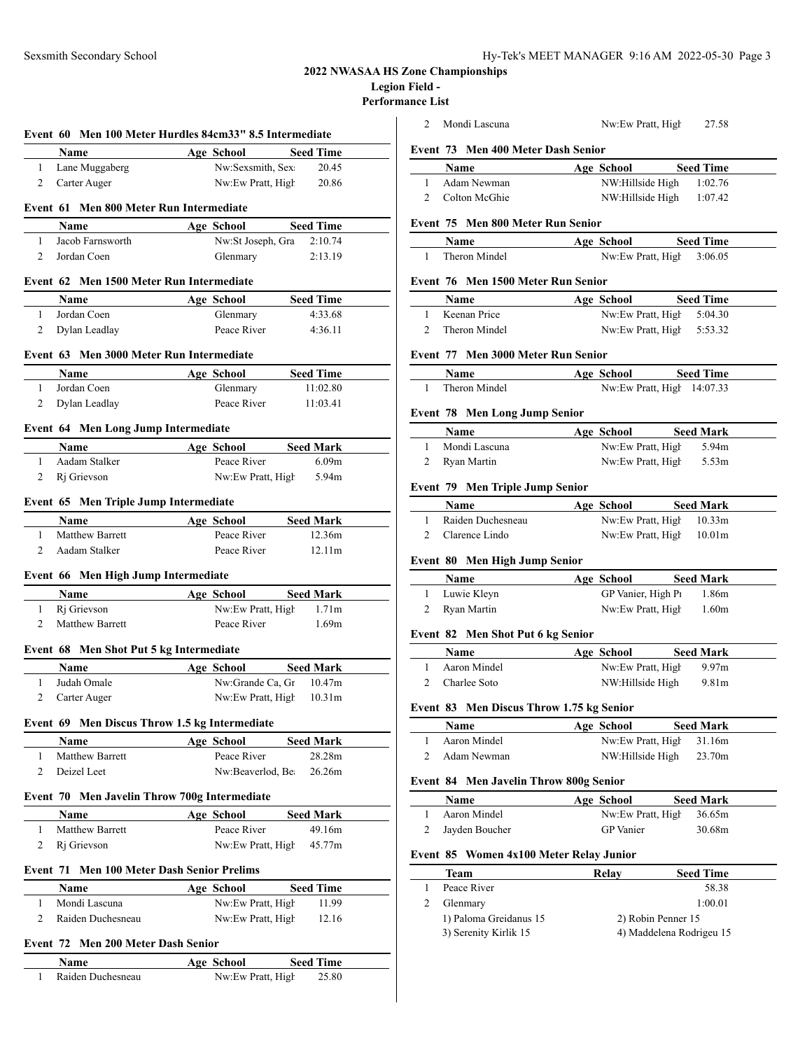# **2022 NWASAA HS Zone Championships**

**Legion Field -**

**Performance List**

|                |                                                           | Event 60 Men 100 Meter Hurdles 84cm33" 8.5 Intermediate |                   |
|----------------|-----------------------------------------------------------|---------------------------------------------------------|-------------------|
|                | <b>Name</b>                                               | Age School                                              | <b>Seed Time</b>  |
| 1              | Lane Muggaberg                                            | Nw:Sexsmith, Sex                                        | 20.45             |
| $\overline{2}$ | Carter Auger                                              | Nw:Ew Pratt, High                                       | 20.86             |
|                | Event 61 Men 800 Meter Run Intermediate                   |                                                         |                   |
|                | Name                                                      | Age School                                              | <b>Seed Time</b>  |
| $\mathbf{1}$   | Jacob Farnsworth                                          | Nw:St Joseph, Gra                                       | 2:10.74           |
| $\overline{2}$ | Jordan Coen                                               | Glenmary                                                | 2:13.19           |
|                | Event 62 Men 1500 Meter Run Intermediate                  |                                                         |                   |
|                | <b>Name</b>                                               | Age School                                              | <b>Seed Time</b>  |
| $\mathbf{1}$   | Jordan Coen                                               | Glenmary                                                | 4:33.68           |
| $\overline{2}$ | Dylan Leadlay                                             | Peace River                                             | 4:36.11           |
|                | Event 63 Men 3000 Meter Run Intermediate                  |                                                         |                   |
|                | Name                                                      | Age School                                              | <b>Seed Time</b>  |
| $\mathbf{1}$   | Jordan Coen                                               | Glenmary                                                | 11:02.80          |
| $\overline{2}$ | Dylan Leadlay                                             | Peace River                                             | 11:03.41          |
|                |                                                           |                                                         |                   |
|                | Event 64 Men Long Jump Intermediate<br>Name               | Age School                                              | <b>Seed Mark</b>  |
| 1              | Aadam Stalker                                             | Peace River                                             | 6.09 <sub>m</sub> |
| $\overline{2}$ | Ri Grievson                                               | Nw:Ew Pratt, High                                       | 5.94m             |
|                |                                                           |                                                         |                   |
|                | Event 65 Men Triple Jump Intermediate                     |                                                         |                   |
|                | Name                                                      | Age School                                              | <b>Seed Mark</b>  |
| 1              | <b>Matthew Barrett</b>                                    | Peace River                                             | 12.36m            |
| $\mathbf{2}$   | Aadam Stalker                                             | Peace River                                             | 12.11m            |
|                | Event 66 Men High Jump Intermediate                       |                                                         |                   |
|                | Name                                                      | <b>Age School</b>                                       | <b>Seed Mark</b>  |
| 1              | Ri Grievson                                               | Nw:Ew Pratt, High                                       | 1.71 <sub>m</sub> |
| $\overline{2}$ | <b>Matthew Barrett</b>                                    | Peace River                                             | 1.69m             |
|                |                                                           |                                                         |                   |
|                | Event 68 Men Shot Put 5 kg Intermediate                   |                                                         |                   |
|                | Name                                                      | Age School                                              | <b>Seed Mark</b>  |
| $\mathbf{1}$   | Judah Omale                                               | Nw:Grande Ca, Gr 10.47m                                 |                   |
| $\overline{2}$ | Carter Auger                                              | Nw:Ew Pratt, High 10.31m                                |                   |
|                | Event 69 Men Discus Throw 1.5 kg Intermediate             |                                                         |                   |
|                | <b>Name</b>                                               | Age School                                              | <b>Seed Mark</b>  |
| 1              | Matthew Barrett                                           | Peace River                                             | 28.28m            |
| 2              | Deizel Leet                                               | Nw:Beaverlod, Be                                        | 26.26m            |
|                |                                                           |                                                         |                   |
|                | Event 70 Men Javelin Throw 700g Intermediate<br>Name      | <b>Age School</b>                                       | <b>Seed Mark</b>  |
| 1              | Matthew Barrett                                           | Peace River                                             | 49.16m            |
| 2              | Rj Grievson                                               | Nw:Ew Pratt, High                                       | 45.77m            |
|                |                                                           |                                                         |                   |
|                | <b>Event 71 Men 100 Meter Dash Senior Prelims</b><br>Name | Age School                                              | <b>Seed Time</b>  |
| 1              | Mondi Lascuna                                             | Nw:Ew Pratt, High                                       | 11.99             |
| 2              | Raiden Duchesneau                                         | Nw:Ew Pratt, High                                       | 12.16             |
|                |                                                           |                                                         |                   |
|                | Event 72 Men 200 Meter Dash Senior<br>Name                | Age School                                              | <b>Seed Time</b>  |

| 2              |             | Mondi Lascuna                            | Nw:Ew Pratt, High 27.58                              |                          |  |
|----------------|-------------|------------------------------------------|------------------------------------------------------|--------------------------|--|
|                |             | Event 73 Men 400 Meter Dash Senior       |                                                      |                          |  |
|                |             | <b>Name</b>                              | Age School Seed Time                                 |                          |  |
| 1              |             | Adam Newman                              |                                                      |                          |  |
| $\mathbf{2}$   |             | Colton McGhie                            | NW:Hillside High 1:02.76<br>NW:Hillside High 1:07.42 |                          |  |
|                |             |                                          |                                                      |                          |  |
|                |             | Event 75 Men 800 Meter Run Senior        |                                                      |                          |  |
|                | Name        |                                          | Age School                                           | <b>Seed Time</b>         |  |
| 1              |             | Theron Mindel                            | Nw:Ew Pratt, High 3:06.05                            |                          |  |
|                |             |                                          |                                                      |                          |  |
|                |             | Event 76 Men 1500 Meter Run Senior       |                                                      |                          |  |
|                | Name        |                                          | Age School Seed Time                                 |                          |  |
| 1              |             | Keenan Price                             | Nw:Ew Pratt, High 5:04.30                            |                          |  |
| $\overline{2}$ |             | Theron Mindel                            | Nw:Ew Pratt, High 5:53.32                            |                          |  |
|                |             |                                          |                                                      |                          |  |
|                |             | Event 77 Men 3000 Meter Run Senior       |                                                      |                          |  |
|                |             | <b>Name</b>                              | Age School Seed Time                                 |                          |  |
| 1              |             | Theron Mindel                            | Nw:Ew Pratt, High 14:07.33                           |                          |  |
|                |             |                                          |                                                      |                          |  |
|                |             | <b>Event 78 Men Long Jump Senior</b>     |                                                      |                          |  |
|                | <b>Name</b> |                                          | Age School                                           | <b>Seed Mark</b>         |  |
| $\mathbf{1}$   |             | Mondi Lascuna                            | Nw:Ew Pratt, High 5.94m                              |                          |  |
| 2              |             | Ryan Martin                              | Nw:Ew Pratt, High 5.53m                              |                          |  |
|                |             |                                          |                                                      |                          |  |
|                |             | Event 79 Men Triple Jump Senior          |                                                      |                          |  |
|                | Name        |                                          | Age School Seed Mark                                 |                          |  |
| $\mathbf{1}$   |             | Raiden Duchesneau                        | Nw:Ew Pratt, High 10.33m                             |                          |  |
| 2              |             | Clarence Lindo                           | Nw:Ew Pratt, High 10.01m                             |                          |  |
|                |             |                                          |                                                      |                          |  |
|                |             | Event 80 Men High Jump Senior            |                                                      |                          |  |
|                |             |                                          |                                                      |                          |  |
|                | Name        |                                          | Age School                                           | <b>Seed Mark</b>         |  |
| $\mathbf{1}$   |             | Luwie Kleyn                              | GP Vanier, High P1                                   | 1.86m                    |  |
| $\overline{2}$ |             | Ryan Martin                              | Nw:Ew Pratt, High                                    | 1.60m                    |  |
|                |             |                                          |                                                      |                          |  |
|                |             | Event 82 Men Shot Put 6 kg Senior        |                                                      |                          |  |
|                | <b>Name</b> |                                          | Age School                                           | <b>Seed Mark</b>         |  |
| $\mathbf{1}$   |             | Aaron Mindel                             | Nw:Ew Pratt, High                                    | 9.97m                    |  |
| $\overline{2}$ |             | Charlee Soto                             | NW:Hillside High 9.81m                               |                          |  |
|                |             |                                          |                                                      |                          |  |
|                |             | Event 83 Men Discus Throw 1.75 kg Senior |                                                      |                          |  |
|                | Name        |                                          | Age School                                           | <b>Seed Mark</b>         |  |
| 1              |             | Aaron Mindel                             | Nw:Ew Pratt, High                                    | 31.16m                   |  |
| 2              |             | Adam Newman                              | NW:Hillside High                                     | 23.70m                   |  |
|                |             |                                          |                                                      |                          |  |
|                |             | Event 84 Men Javelin Throw 800g Senior   |                                                      |                          |  |
|                | Name        |                                          | Age School                                           | <b>Seed Mark</b>         |  |
| 1              |             | Aaron Mindel                             | Nw:Ew Pratt, High                                    | 36.65m                   |  |
| 2              |             | Jayden Boucher                           | <b>GP</b> Vanier                                     | 30.68m                   |  |
|                |             |                                          |                                                      |                          |  |
|                |             | Event 85 Women 4x100 Meter Relay Junior  |                                                      |                          |  |
|                | Team        |                                          | Relay                                                | <b>Seed Time</b>         |  |
| 1              |             | Peace River                              |                                                      | 58.38                    |  |
| 2              |             | Glenmary                                 |                                                      | 1:00.01                  |  |
|                |             | 1) Paloma Greidanus 15                   | 2) Robin Penner 15                                   |                          |  |
|                |             | 3) Serenity Kirlik 15                    |                                                      | 4) Maddelena Rodrigeu 15 |  |
|                |             |                                          |                                                      |                          |  |
|                |             |                                          |                                                      |                          |  |
|                |             |                                          |                                                      |                          |  |